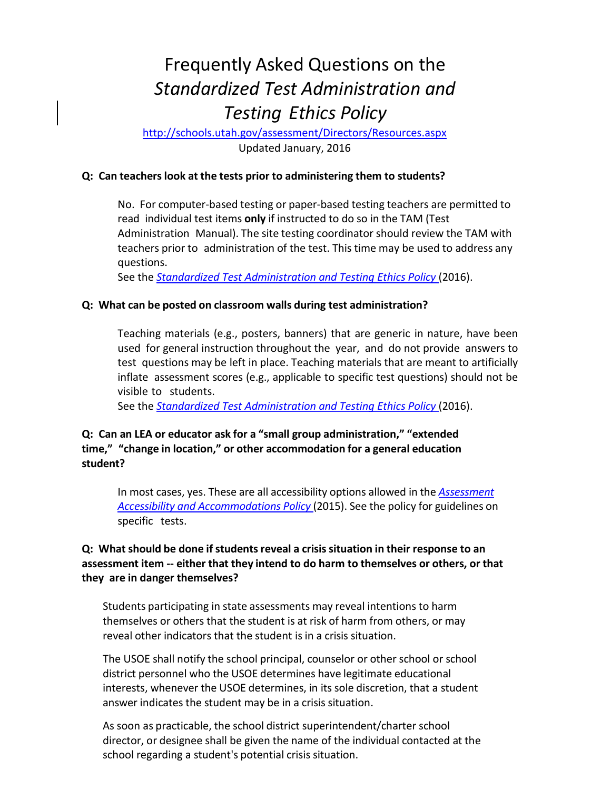# Frequently Asked Questions on the *Standardized Test Administration and Testing Ethics Policy*

<http://schools.utah.gov/assessment/Directors/Resources.aspx> Updated January, 2016

### **Q: Can teacherslook at the tests prior to administering them to students?**

No. For computer-based testing or paper-based testing teachers are permitted to read individual test items **only** if instructed to do so in the TAM (Test Administration Manual). The site testing coordinator should review the TAM with teachers prior to administration of the test. This time may be used to address any questions.

See the *Standardized [Test Administration](http://schools.utah.gov/assessment/Directors/Resources/EthicsPolicy.aspx) and Testing Ethics Policy* (2016).

## **Q: What can be posted on classroom walls during test administration?**

Teaching materials (e.g., posters, banners) that are generic in nature, have been used for general instruction throughout the year, and do not provide answers to test questions may be left in place. Teaching materials that are meant to artificially inflate assessment scores (e.g., applicable to specific test questions) should not be visible to students.

See the *Standardized [Test Administration](http://schools.utah.gov/assessment/Directors/Resources/EthicsPolicy.aspx) and Testing Ethics Policy* (2016).

# **Q: Can an LEA or educator ask for a "small group administration," "extended time," "change in location," or other accommodation for a general education student?**

In most cases, yes. These are all accessibility options allowed in the *[Assessment](http://schools.utah.gov/assessment/SE.aspx) Accessibility and [Accommodations](http://www.schools.utah.gov/assessment/Special-Needs.aspx) Policy* (2015). See the policy for guidelines on specific tests.

## **Q: What should be done if studentsreveal a crisis situation in their response to an assessment item -- either that they intend to do harm to themselves or others, or that they are in danger themselves?**

Students participating in state assessments may reveal intentions to harm themselves or others that the student is at risk of harm from others, or may reveal other indicators that the student is in a crisis situation.

The USOE shall notify the school principal, counselor or other school or school district personnel who the USOE determines have legitimate educational interests, whenever the USOE determines, in its sole discretion, that a student answer indicates the student may be in a crisis situation.

As soon as practicable, the school district superintendent/charter school director, or designee shall be given the name of the individual contacted at the school regarding a student's potential crisis situation.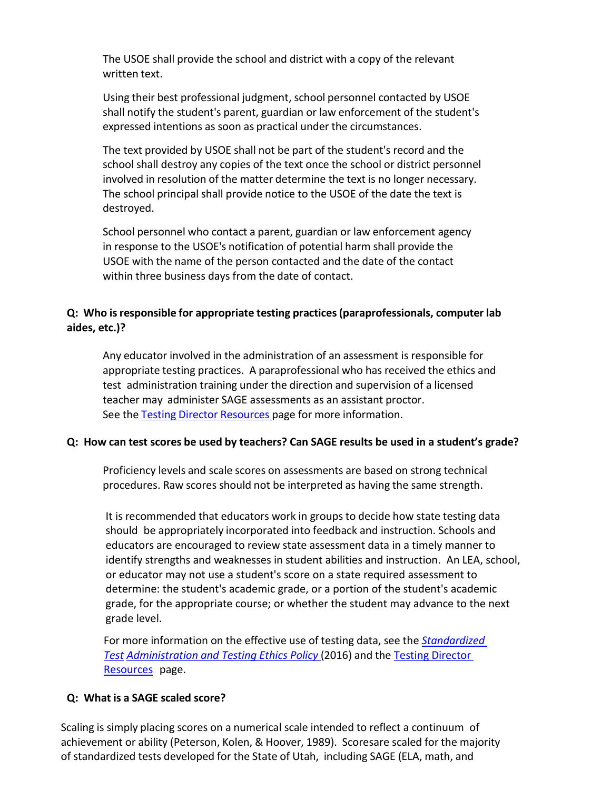The USOE shall provide the school and district with a copy of the relevant written text.

Using their best professional judgment, school personnel contacted by USOE shall notify the student's parent, guardian or law enforcement of the student's expressed intentions as soon as practical under the circumstances.

The text provided by USOE shall not be part of the student's record and the school shall destroy any copies of the text once the school or district personnel involved in resolution of the matter determine the text is no longer necessary. The school principal shall provide notice to the USOE of the date the text is destroyed.

School personnel who contact a parent, guardian or law enforcement agency in response to the USOE's notification of potential harm shall provide the USOE with the name of the person contacted and the date of the contact within three business days from the date of contact.

# **Q: Who isresponsible for appropriate testing practices(paraprofessionals, computer lab aides, etc.)?**

Any educator involved in the administration of an assessment is responsible for appropriate testing practices. A paraprofessional who has received the ethics and test administration training under the direction and supervision of a licensed teacher may administer SAGE assessments as an assistant proctor. See the **Testing Director [Resources](http://schools.utah.gov/assessment/Directors.aspx)** page for more information.

## **Q: How can test scores be used by teachers? Can SAGE results be used in a student's grade?**

Proficiency levels and scale scores on assessments are based on strong technical procedures. Raw scores should not be interpreted as having the same strength.

It is recommended that educators work in groupsto decide how state testing data should be appropriately incorporated into feedback and instruction. Schools and educators are encouraged to review state assessment data in a timely manner to identify strengths and weaknesses in student abilities and instruction. An LEA, school, or educator may not use a student's score on a state required assessment to determine: the student's academic grade, or a portion of the student's academic grade, for the appropriate course; or whether the student may advance to the next grade level.

For more information on the effective use of testing data, see the *Standardized Test [Administration](http://schools.utah.gov/assessment/Directors/Resources/EthicsPolicy.aspx) and Testing Ethics Policy* (2016) and the Testing [Director](http://schools.utah.gov/assessment/Directors/Resources.aspx) [Resources](http://schools.utah.gov/assessment/Directors/Resources.aspx) page.

#### **Q: What is a SAGE scaled score?**

Scaling is simply placing scores on a numerical scale intended to reflect a continuum of achievement or ability (Peterson, Kolen, & Hoover, 1989). Scoresare scaled for the majority of standardized tests developed for the State of Utah, including SAGE (ELA, math, and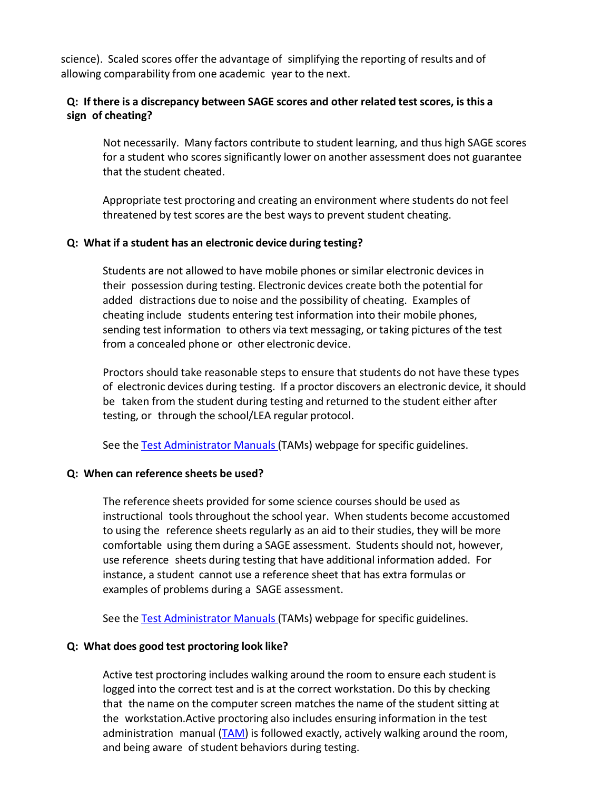science). Scaled scores offer the advantage of simplifying the reporting of results and of allowing comparability from one academic year to the next.

## **Q: If there is a discrepancy between SAGE scores and other related testscores, is this a sign of cheating?**

Not necessarily. Many factors contribute to student learning, and thus high SAGE scores for a student who scores significantly lower on another assessment does not guarantee that the student cheated.

Appropriate test proctoring and creating an environment where students do not feel threatened by test scores are the best ways to prevent student cheating.

#### **Q: What if a student has an electronic device during testing?**

Students are not allowed to have mobile phones or similar electronic devices in their possession during testing. Electronic devices create both the potential for added distractions due to noise and the possibility of cheating. Examples of cheating include students entering test information into their mobile phones, sending test information to others via text messaging, or taking pictures of the test from a concealed phone or other electronic device.

Proctors should take reasonable steps to ensure that students do not have these types of electronic devices during testing. If a proctor discovers an electronic device, it should be taken from the student during testing and returned to the student either after testing, or through the school/LEA regular protocol.

See the Test [Administrator](http://schools.utah.gov/assessment/SAGE.aspx) Manuals (TAMs) webpage for specific guidelines.

#### **Q: When can reference sheets be used?**

The reference sheets provided for some science courses should be used as instructional tools throughout the school year. When students become accustomed to using the reference sheets regularly as an aid to their studies, they will be more comfortable using them during a SAGE assessment. Students should not, however, use reference sheets during testing that have additional information added. For instance, a student cannot use a reference sheet that has extra formulas or examples of problems during a SAGE assessment.

See the Test [Administrator](http://schools.utah.gov/assessment/SAGE.aspx) Manuals (TAMs) webpage for specific guidelines.

## **Q: What does good test proctoring look like?**

Active test proctoring includes walking around the room to ensure each student is logged into the correct test and is at the correct workstation. Do this by checking that the name on the computer screen matches the name of the student sitting at the workstation.Active proctoring also includes ensuring information in the test administration manual  $(TAM)$  is followed exactly, actively walking around the room, and being aware of student behaviors during testing.